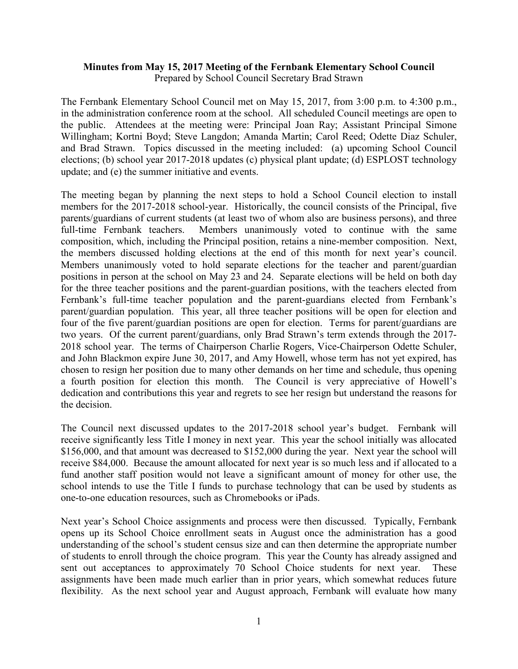## **Minutes from May 15, 2017 Meeting of the Fernbank Elementary School Council** Prepared by School Council Secretary Brad Strawn

The Fernbank Elementary School Council met on May 15, 2017, from 3:00 p.m. to 4:300 p.m., in the administration conference room at the school. All scheduled Council meetings are open to the public. Attendees at the meeting were: Principal Joan Ray; Assistant Principal Simone Willingham; Kortni Boyd; Steve Langdon; Amanda Martin; Carol Reed; Odette Diaz Schuler, and Brad Strawn. Topics discussed in the meeting included: (a) upcoming School Council elections; (b) school year 2017-2018 updates (c) physical plant update; (d) ESPLOST technology update; and (e) the summer initiative and events.

The meeting began by planning the next steps to hold a School Council election to install members for the 2017-2018 school-year. Historically, the council consists of the Principal, five parents/guardians of current students (at least two of whom also are business persons), and three full-time Fernbank teachers. Members unanimously voted to continue with the same composition, which, including the Principal position, retains a nine-member composition. Next, the members discussed holding elections at the end of this month for next year's council. Members unanimously voted to hold separate elections for the teacher and parent/guardian positions in person at the school on May 23 and 24. Separate elections will be held on both day for the three teacher positions and the parent-guardian positions, with the teachers elected from Fernbank's full-time teacher population and the parent-guardians elected from Fernbank's parent/guardian population. This year, all three teacher positions will be open for election and four of the five parent/guardian positions are open for election. Terms for parent/guardians are two years. Of the current parent/guardians, only Brad Strawn's term extends through the 2017- 2018 school year. The terms of Chairperson Charlie Rogers, Vice-Chairperson Odette Schuler, and John Blackmon expire June 30, 2017, and Amy Howell, whose term has not yet expired, has chosen to resign her position due to many other demands on her time and schedule, thus opening a fourth position for election this month. The Council is very appreciative of Howell's dedication and contributions this year and regrets to see her resign but understand the reasons for the decision.

The Council next discussed updates to the 2017-2018 school year's budget. Fernbank will receive significantly less Title I money in next year. This year the school initially was allocated \$156,000, and that amount was decreased to \$152,000 during the year. Next year the school will receive \$84,000. Because the amount allocated for next year is so much less and if allocated to a fund another staff position would not leave a significant amount of money for other use, the school intends to use the Title I funds to purchase technology that can be used by students as one-to-one education resources, such as Chromebooks or iPads.

Next year's School Choice assignments and process were then discussed. Typically, Fernbank opens up its School Choice enrollment seats in August once the administration has a good understanding of the school's student census size and can then determine the appropriate number of students to enroll through the choice program. This year the County has already assigned and sent out acceptances to approximately 70 School Choice students for next year. These assignments have been made much earlier than in prior years, which somewhat reduces future flexibility. As the next school year and August approach, Fernbank will evaluate how many